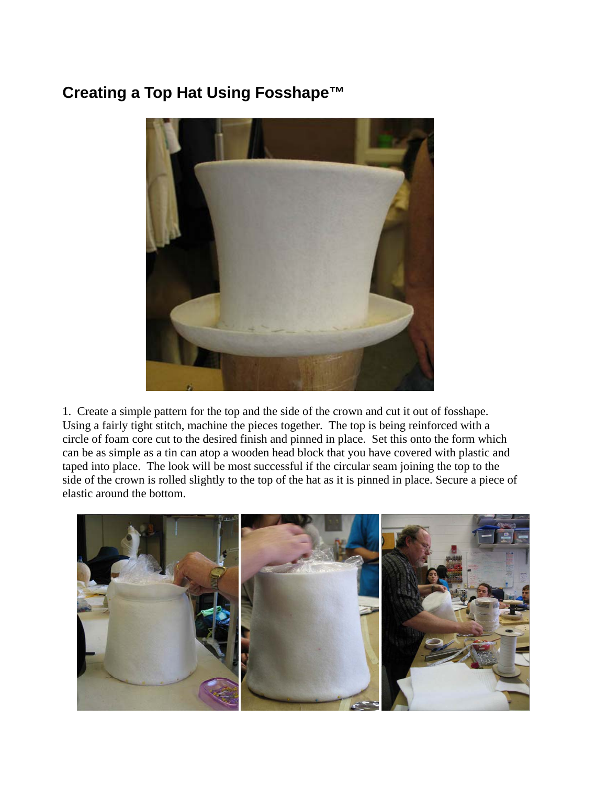## **Creating a Top Hat Using Fosshape™**



1. Create a simple pattern for the top and the side of the crown and cut it out of fosshape. Using a fairly tight stitch, machine the pieces together. The top is being reinforced with a circle of foam core cut to the desired finish and pinned in place. Set this onto the form which can be as simple as a tin can atop a wooden head block that you have covered with plastic and taped into place. The look will be most successful if the circular seam joining the top to the side of the crown is rolled slightly to the top of the hat as it is pinned in place. Secure a piece of elastic around the bottom.

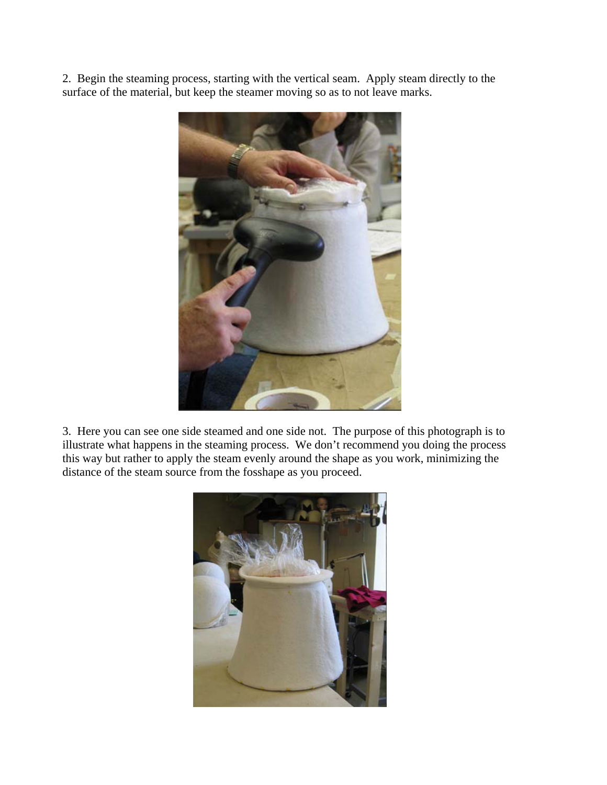2. Begin the steaming process, starting with the vertical seam. Apply steam directly to the surface of the material, but keep the steamer moving so as to not leave marks.



3. Here you can see one side steamed and one side not. The purpose of this photograph is to illustrate what happens in the steaming process. We don't recommend you doing the process this way but rather to apply the steam evenly around the shape as you work, minimizing the distance of the steam source from the fosshape as you proceed.

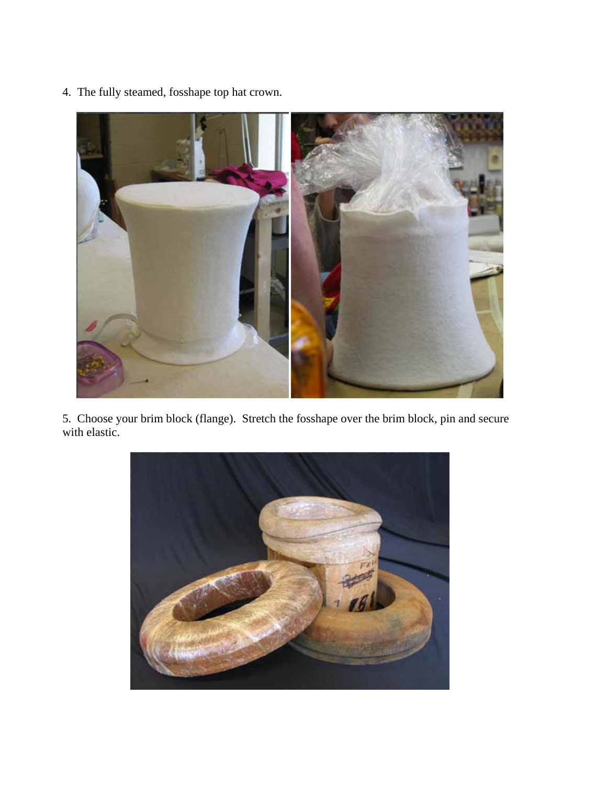

4. The fully steamed, fosshape top hat crown.

5. Choose your brim block (flange). Stretch the fosshape over the brim block, pin and secure with elastic.

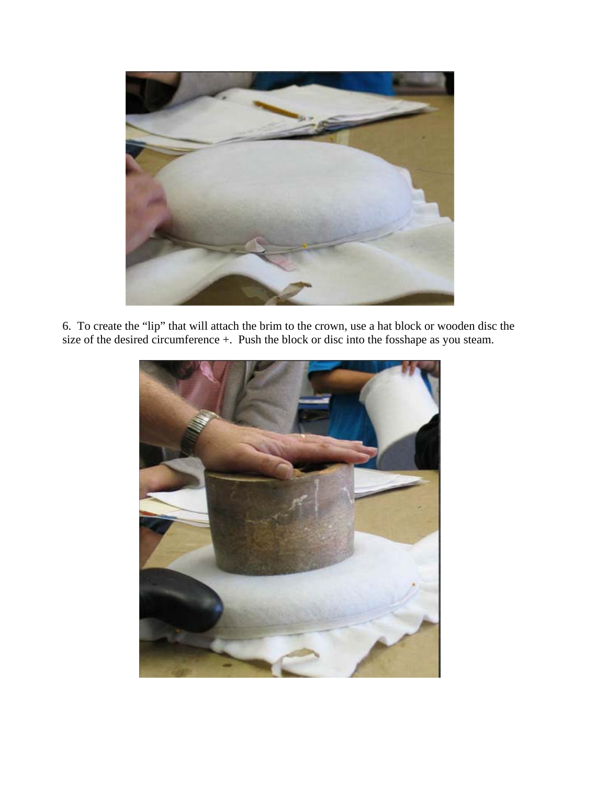

6. To create the "lip" that will attach the brim to the crown, use a hat block or wooden disc the size of the desired circumference +. Push the block or disc into the fosshape as you steam.

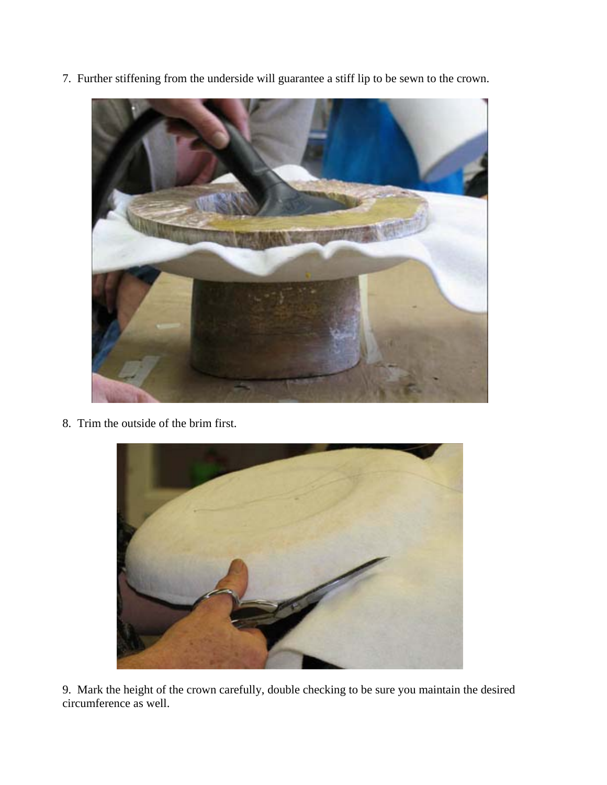7. Further stiffening from the underside will guarantee a stiff lip to be sewn to the crown.



8. Trim the outside of the brim first.



9. Mark the height of the crown carefully, double checking to be sure you maintain the desired circumference as well.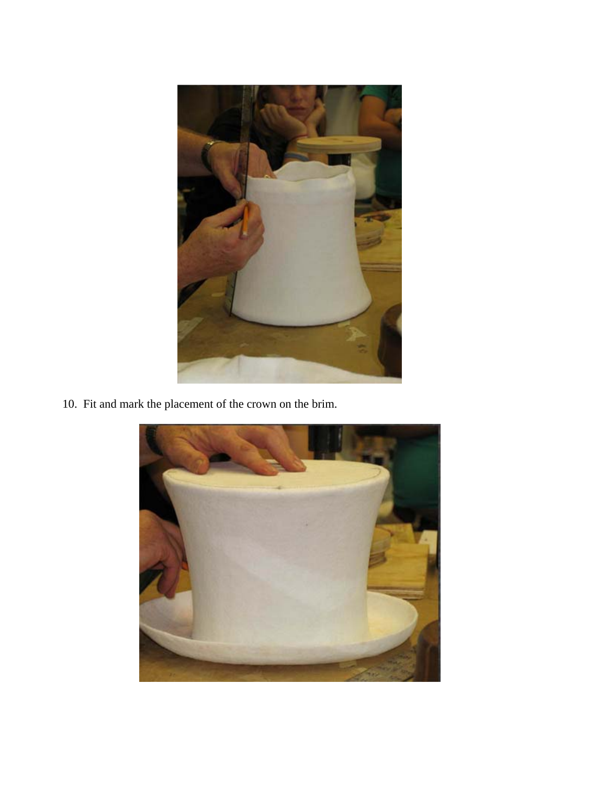

10. Fit and mark the placement of the crown on the brim.

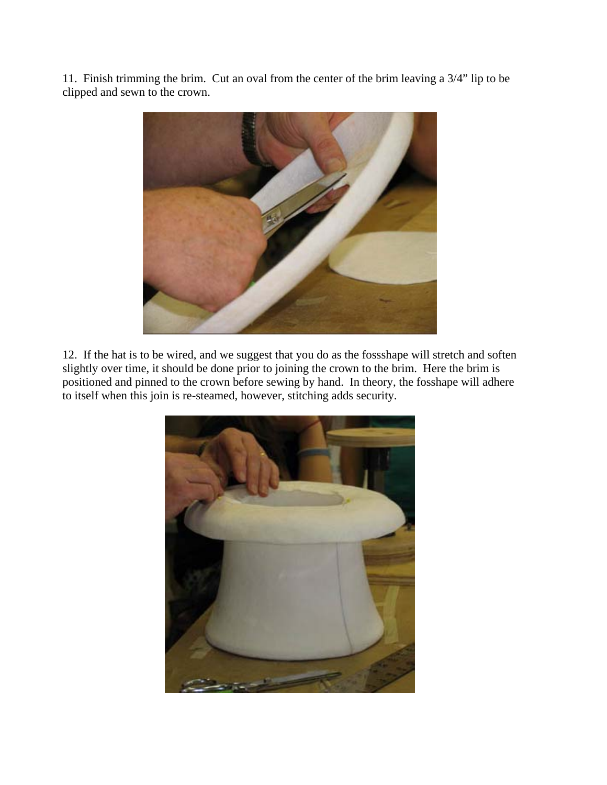11. Finish trimming the brim. Cut an oval from the center of the brim leaving a 3/4" lip to be clipped and sewn to the crown.



12. If the hat is to be wired, and we suggest that you do as the fossshape will stretch and soften slightly over time, it should be done prior to joining the crown to the brim. Here the brim is positioned and pinned to the crown before sewing by hand. In theory, the fosshape will adhere to itself when this join is re-steamed, however, stitching adds security.